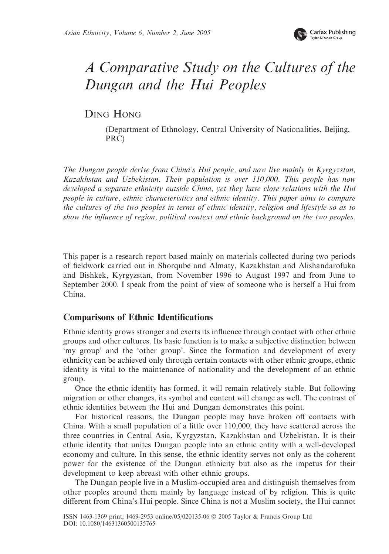

# A Comparative Study on the Cultures of the Dungan and the Hui Peoples

DING HONG

(Department of Ethnology, Central University of Nationalities, Beijing, PRC)

The Dungan people derive from China's Hui people, and now live mainly in Kyrgyzstan, Kazakhstan and Uzbekistan. Their population is over 110,000. This people has now developed a separate ethnicity outside China, yet they have close relations with the Hui people in culture, ethnic characteristics and ethnic identity. This paper aims to compare the cultures of the two peoples in terms of ethnic identity, religion and lifestyle so as to show the influence of region, political context and ethnic background on the two peoples.

This paper is a research report based mainly on materials collected during two periods of fieldwork carried out in Shorqube and Almaty, Kazakhstan and Alishandarofuka and Bishkek, Kyrgyzstan, from November 1996 to August 1997 and from June to September 2000. I speak from the point of view of someone who is herself a Hui from China.

## Comparisons of Ethnic Identifications

Ethnic identity grows stronger and exerts its influence through contact with other ethnic groups and other cultures. Its basic function is to make a subjective distinction between 'my group' and the 'other group'. Since the formation and development of every ethnicity can be achieved only through certain contacts with other ethnic groups, ethnic identity is vital to the maintenance of nationality and the development of an ethnic group.

Once the ethnic identity has formed, it will remain relatively stable. But following migration or other changes, its symbol and content will change as well. The contrast of ethnic identities between the Hui and Dungan demonstrates this point.

For historical reasons, the Dungan people may have broken off contacts with China. With a small population of a little over 110,000, they have scattered across the three countries in Central Asia, Kyrgyzstan, Kazakhstan and Uzbekistan. It is their ethnic identity that unites Dungan people into an ethnic entity with a well-developed economy and culture. In this sense, the ethnic identity serves not only as the coherent power for the existence of the Dungan ethnicity but also as the impetus for their development to keep abreast with other ethnic groups.

The Dungan people live in a Muslim-occupied area and distinguish themselves from other peoples around them mainly by language instead of by religion. This is quite different from China's Hui people. Since China is not a Muslim society, the Hui cannot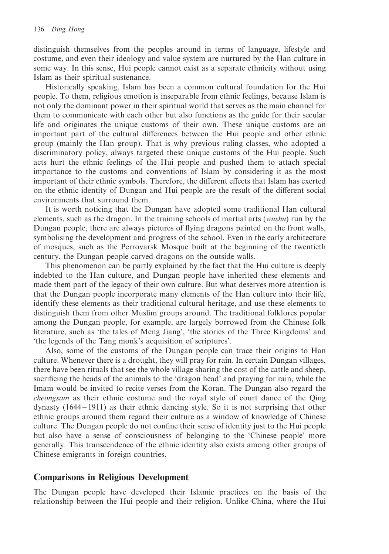distinguish themselves from the peoples around in terms of language, lifestyle and costume, and even their ideology and value system are nurtured by the Han culture in some way. In this sense, Hui people cannot exist as a separate ethnicity without using Islam as their spiritual sustenance.

Historically speaking, Islam has been a common cultural foundation for the Hui people. To them, religious emotion is inseparable from ethnic feelings, because Islam is not only the dominant power in their spiritual world that serves as the main channel for them to communicate with each other but also functions as the guide for their secular life and originates the unique customs of their own. These unique customs are an important part of the cultural differences between the Hui people and other ethnic group (mainly the Han group). That is why previous ruling classes, who adopted a discriminatory policy, always targeted these unique customs of the Hui people. Such acts hurt the ethnic feelings of the Hui people and pushed them to attach special importance to the customs and conventions of Islam by considering it as the most important of their ethnic symbols. Therefore, the different effects that Islam has exerted on the ethnic identity of Dungan and Hui people are the result of the different social environments that surround them.

It is worth noticing that the Dungan have adopted some traditional Han cultural elements, such as the dragon. In the training schools of martial arts (wushu) run by the Dungan people, there are always pictures of flying dragons painted on the front walls, symbolising the development and progress of the school. Even in the early architecture of mosques, such as the Perrovarsk Mosque built at the beginning of the twentieth century, the Dungan people carved dragons on the outside walls.

This phenomenon can be partly explained by the fact that the Hui culture is deeply indebted to the Han culture, and Dungan people have inherited these elements and made them part of the legacy of their own culture. But what deserves more attention is that the Dungan people incorporate many elements of the Han culture into their life, identify these elements as their traditional cultural heritage, and use these elements to distinguish them from other Muslim groups around. The traditional folklores popular among the Dungan people, for example, are largely borrowed from the Chinese folk literature, such as 'the tales of Meng Jiang', 'the stories of the Three Kingdoms' and 'the legends of the Tang monk's acquisition of scriptures'.

Also, some of the customs of the Dungan people can trace their origins to Han culture. Whenever there is a drought, they will pray for rain. In certain Dungan villages, there have been rituals that see the whole village sharing the cost of the cattle and sheep, sacrificing the heads of the animals to the 'dragon head' and praying for rain, while the Imam would be invited to recite verses from the Koran. The Dungan also regard the cheongsam as their ethnic costume and the royal style of court dance of the Qing dynasty (1644 – 1911) as their ethnic dancing style. So it is not surprising that other ethnic groups around them regard their culture as a window of knowledge of Chinese culture. The Dungan people do not confine their sense of identity just to the Hui people but also have a sense of consciousness of belonging to the 'Chinese people' more generally. This transcendence of the ethnic identity also exists among other groups of Chinese emigrants in foreign countries.

### Comparisons in Religious Development

The Dungan people have developed their Islamic practices on the basis of the relationship between the Hui people and their religion. Unlike China, where the Hui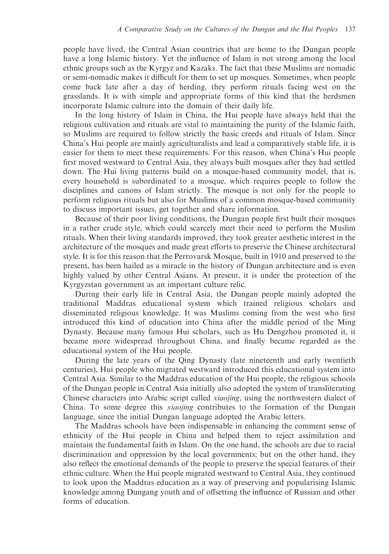people have lived, the Central Asian countries that are home to the Dungan people have a long Islamic history. Yet the influence of Islam is not strong among the local ethnic groups such as the Kyrgyz and Kazaks. The fact that these Muslims are nomadic or semi-nomadic makes it difficult for them to set up mosques. Sometimes, when people come back late after a day of herding, they perform rituals facing west on the grasslands. It is with simple and appropriate forms of this kind that the herdsmen incorporate Islamic culture into the domain of their daily life.

In the long history of Islam in China, the Hui people have always held that the religious cultivation and rituals are vital to maintaining the purity of the Islamic faith, so Muslims are required to follow strictly the basic creeds and rituals of Islam. Since China's Hui people are mainly agriculturalists and lead a comparatively stable life, it is easier for them to meet these requirements. For this reason, when China's Hui people first moved westward to Central Asia, they always built mosques after they had settled down. The Hui living patterns build on a mosque-based community model, that is, every household is subordinated to a mosque, which requires people to follow the disciplines and canons of Islam strictly. The mosque is not only for the people to perform religious rituals but also for Muslims of a common mosque-based community to discuss important issues, get together and share information.

Because of their poor living conditions, the Dungan people first built their mosques in a rather crude style, which could scarcely meet their need to perform the Muslim rituals. When their living standards improved, they took greater aesthetic interest in the architecture of the mosques and made great efforts to preserve the Chinese architectural style. It is for this reason that the Perrovarsk Mosque, built in 1910 and preserved to the present, has been hailed as a miracle in the history of Dungan architecture and is even highly valued by other Central Asians. At present, it is under the protection of the Kyrgyzstan government as an important culture relic.

During their early life in Central Asia, the Dungan people mainly adopted the traditional Maddras educational system which trained religious scholars and disseminated religious knowledge. It was Muslims coming from the west who first introduced this kind of education into China after the middle period of the Ming Dynasty. Because many famous Hui scholars, such as Hu Dengzhou promoted it, it became more widespread throughout China, and finally became regarded as the educational system of the Hui people.

During the late years of the Qing Dynasty (late nineteenth and early twentieth centuries), Hui people who migrated westward introduced this educational system into Central Asia. Similar to the Maddras education of the Hui people, the religious schools of the Dungan people in Central Asia initially also adopted the system of transliterating Chinese characters into Arabic script called xiaojing, using the northwestern dialect of China. To some degree this xiaojing contributes to the formation of the Dungan language, since the initial Dungan language adopted the Arabic letters.

The Maddras schools have been indispensable in enhancing the comment sense of ethnicity of the Hui people in China and helped them to reject assimilation and maintain the fundamental faith in Islam. On the one hand, the schools are due to racial discrimination and oppression by the local governments; but on the other hand, they also reflect the emotional demands of the people to preserve the special features of their ethnic culture. When the Hui people migrated westward to Central Asia, they continued to look upon the Maddras education as a way of preserving and popularising Islamic knowledge among Dungang youth and of offsetting the influence of Russian and other forms of education.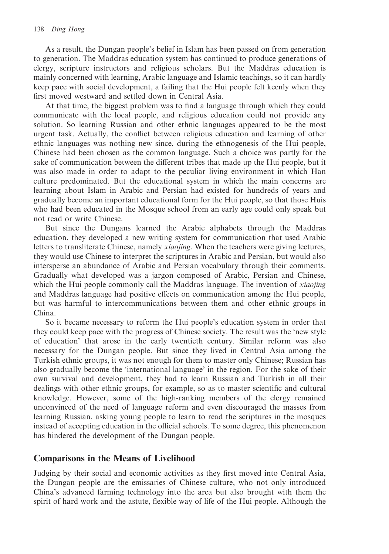As a result, the Dungan people's belief in Islam has been passed on from generation to generation. The Maddras education system has continued to produce generations of clergy, scripture instructors and religious scholars. But the Maddras education is mainly concerned with learning, Arabic language and Islamic teachings, so it can hardly keep pace with social development, a failing that the Hui people felt keenly when they first moved westward and settled down in Central Asia.

At that time, the biggest problem was to find a language through which they could communicate with the local people, and religious education could not provide any solution. So learning Russian and other ethnic languages appeared to be the most urgent task. Actually, the conflict between religious education and learning of other ethnic languages was nothing new since, during the ethnogenesis of the Hui people, Chinese had been chosen as the common language. Such a choice was partly for the sake of communication between the different tribes that made up the Hui people, but it was also made in order to adapt to the peculiar living environment in which Han culture predominated. But the educational system in which the main concerns are learning about Islam in Arabic and Persian had existed for hundreds of years and gradually become an important educational form for the Hui people, so that those Huis who had been educated in the Mosque school from an early age could only speak but not read or write Chinese.

But since the Dungans learned the Arabic alphabets through the Maddras education, they developed a new writing system for communication that used Arabic letters to transliterate Chinese, namely xiaojing. When the teachers were giving lectures, they would use Chinese to interpret the scriptures in Arabic and Persian, but would also intersperse an abundance of Arabic and Persian vocabulary through their comments. Gradually what developed was a jargon composed of Arabic, Persian and Chinese, which the Hui people commonly call the Maddras language. The invention of *xiaojing* and Maddras language had positive effects on communication among the Hui people, but was harmful to intercommunications between them and other ethnic groups in China.

So it became necessary to reform the Hui people's education system in order that they could keep pace with the progress of Chinese society. The result was the 'new style of education' that arose in the early twentieth century. Similar reform was also necessary for the Dungan people. But since they lived in Central Asia among the Turkish ethnic groups, it was not enough for them to master only Chinese; Russian has also gradually become the 'international language' in the region. For the sake of their own survival and development, they had to learn Russian and Turkish in all their dealings with other ethnic groups, for example, so as to master scientific and cultural knowledge. However, some of the high-ranking members of the clergy remained unconvinced of the need of language reform and even discouraged the masses from learning Russian, asking young people to learn to read the scriptures in the mosques instead of accepting education in the official schools. To some degree, this phenomenon has hindered the development of the Dungan people.

## Comparisons in the Means of Livelihood

Judging by their social and economic activities as they first moved into Central Asia, the Dungan people are the emissaries of Chinese culture, who not only introduced China's advanced farming technology into the area but also brought with them the spirit of hard work and the astute, flexible way of life of the Hui people. Although the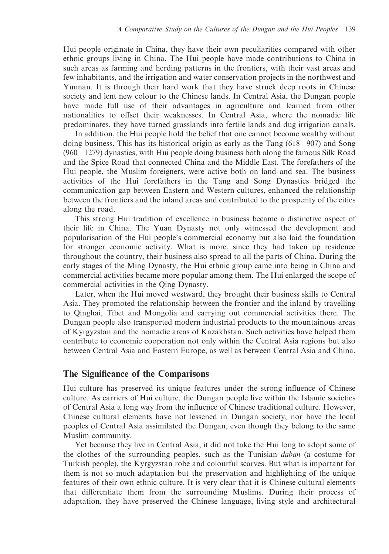Hui people originate in China, they have their own peculiarities compared with other ethnic groups living in China. The Hui people have made contributions to China in such areas as farming and herding patterns in the frontiers, with their vast areas and few inhabitants, and the irrigation and water conservation projects in the northwest and Yunnan. It is through their hard work that they have struck deep roots in Chinese society and lent new colour to the Chinese lands. In Central Asia, the Dungan people have made full use of their advantages in agriculture and learned from other nationalities to offset their weaknesses. In Central Asia, where the nomadic life predominates, they have turned grasslands into fertile lands and dug irrigation canals.

In addition, the Hui people hold the belief that one cannot become wealthy without doing business. This has its historical origin as early as the Tang  $(618-907)$  and Song (960 – 1279) dynasties, with Hui people doing business both along the famous Silk Road and the Spice Road that connected China and the Middle East. The forefathers of the Hui people, the Muslim foreigners, were active both on land and sea. The business activities of the Hui forefathers in the Tang and Song Dynasties bridged the communication gap between Eastern and Western cultures, enhanced the relationship between the frontiers and the inland areas and contributed to the prosperity of the cities along the road.

This strong Hui tradition of excellence in business became a distinctive aspect of their life in China. The Yuan Dynasty not only witnessed the development and popularisation of the Hui people's commercial economy but also laid the foundation for stronger economic activity. What is more, since they had taken up residence throughout the country, their business also spread to all the parts of China. During the early stages of the Ming Dynasty, the Hui ethnic group came into being in China and commercial activities became more popular among them. The Hui enlarged the scope of commercial activities in the Qing Dynasty.

Later, when the Hui moved westward, they brought their business skills to Central Asia. They promoted the relationship between the frontier and the inland by travelling to Qinghai, Tibet and Mongolia and carrying out commercial activities there. The Dungan people also transported modern industrial products to the mountainous areas of Kyrgyzstan and the nomadic areas of Kazakhstan. Such activities have helped them contribute to economic cooperation not only within the Central Asia regions but also between Central Asia and Eastern Europe, as well as between Central Asia and China.

#### The Significance of the Comparisons

Hui culture has preserved its unique features under the strong influence of Chinese culture. As carriers of Hui culture, the Dungan people live within the Islamic societies of Central Asia a long way from the influence of Chinese traditional culture. However, Chinese cultural elements have not lessened in Dungan society, nor have the local peoples of Central Asia assimilated the Dungan, even though they belong to the same Muslim community.

Yet because they live in Central Asia, it did not take the Hui long to adopt some of the clothes of the surrounding peoples, such as the Tunisian daban (a costume for Turkish people), the Kyrgyzstan robe and colourful scarves. But what is important for them is not so much adaptation but the preservation and highlighting of the unique features of their own ethnic culture. It is very clear that it is Chinese cultural elements that differentiate them from the surrounding Muslims. During their process of adaptation, they have preserved the Chinese language, living style and architectural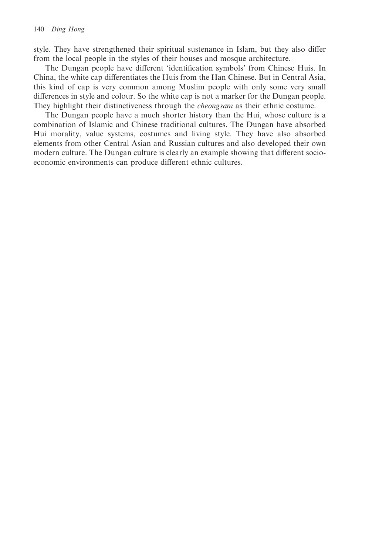style. They have strengthened their spiritual sustenance in Islam, but they also differ from the local people in the styles of their houses and mosque architecture.

The Dungan people have different 'identification symbols' from Chinese Huis. In China, the white cap differentiates the Huis from the Han Chinese. But in Central Asia, this kind of cap is very common among Muslim people with only some very small differences in style and colour. So the white cap is not a marker for the Dungan people. They highlight their distinctiveness through the *cheongsam* as their ethnic costume.

The Dungan people have a much shorter history than the Hui, whose culture is a combination of Islamic and Chinese traditional cultures. The Dungan have absorbed Hui morality, value systems, costumes and living style. They have also absorbed elements from other Central Asian and Russian cultures and also developed their own modern culture. The Dungan culture is clearly an example showing that different socioeconomic environments can produce different ethnic cultures.